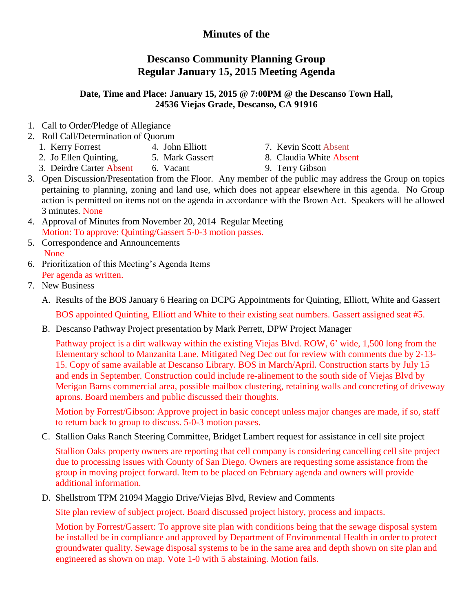## **Minutes of the**

## **Descanso Community Planning Group Regular January 15, 2015 Meeting Agenda**

## **Date, Time and Place: January 15, 2015 @ 7:00PM @ the Descanso Town Hall, 24536 Viejas Grade, Descanso, CA 91916**

- 1. Call to Order/Pledge of Allegiance
- 2. Roll Call/Determination of Quorum
	- 1. Kerry Forrest 4. John Elliott 7. Kevin Scott Absent
	- 2. Jo Ellen Quinting, 5. Mark Gassert 8. Claudia White Absent
- -
	- 3. Deirdre Carter Absent 6. Vacant 9. Terry Gibson
		-
- 3. Open Discussion/Presentation from the Floor. Any member of the public may address the Group on topics pertaining to planning, zoning and land use, which does not appear elsewhere in this agenda. No Group action is permitted on items not on the agenda in accordance with the Brown Act. Speakers will be allowed 3 minutes. None
- 4. Approval of Minutes from November 20, 2014 Regular Meeting Motion: To approve: Quinting/Gassert 5-0-3 motion passes.
- 5. Correspondence and Announcements None
- 6. Prioritization of this Meeting's Agenda Items Per agenda as written.
- 7. New Business
	- A. Results of the BOS January 6 Hearing on DCPG Appointments for Quinting, Elliott, White and Gassert BOS appointed Quinting, Elliott and White to their existing seat numbers. Gassert assigned seat #5.
	- B. Descanso Pathway Project presentation by Mark Perrett, DPW Project Manager

Pathway project is a dirt walkway within the existing Viejas Blvd. ROW, 6' wide, 1,500 long from the Elementary school to Manzanita Lane. Mitigated Neg Dec out for review with comments due by 2-13- 15. Copy of same available at Descanso Library. BOS in March/April. Construction starts by July 15 and ends in September. Construction could include re-alinement to the south side of Viejas Blvd by Merigan Barns commercial area, possible mailbox clustering, retaining walls and concreting of driveway aprons. Board members and public discussed their thoughts.

Motion by Forrest/Gibson: Approve project in basic concept unless major changes are made, if so, staff to return back to group to discuss. 5-0-3 motion passes.

C. Stallion Oaks Ranch Steering Committee, Bridget Lambert request for assistance in cell site project

Stallion Oaks property owners are reporting that cell company is considering cancelling cell site project due to processing issues with County of San Diego. Owners are requesting some assistance from the group in moving project forward. Item to be placed on February agenda and owners will provide additional information.

D. Shellstrom TPM 21094 Maggio Drive/Viejas Blvd, Review and Comments

Site plan review of subject project. Board discussed project history, process and impacts.

Motion by Forrest/Gassert: To approve site plan with conditions being that the sewage disposal system be installed be in compliance and approved by Department of Environmental Health in order to protect groundwater quality. Sewage disposal systems to be in the same area and depth shown on site plan and engineered as shown on map. Vote 1-0 with 5 abstaining. Motion fails.